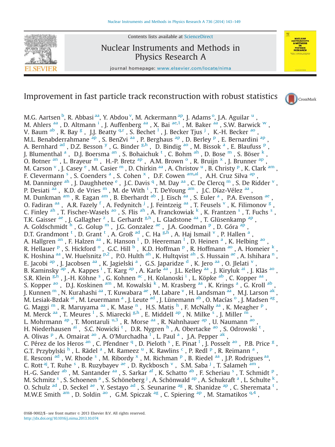

Contents lists available at ScienceDirect

# Nuclear Instruments and Methods in Physics Research A



journal homepage: www.elsevier.com/locate/nima

# Improvement in fast particle track reconstruction with robust statistics



M.G. Aartsen <sup>b</sup>, R. Abbasi <sup>aa</sup>, Y. Abdou <sup>v</sup>, M. Ackermann <sup>ap</sup>, J. Adams <sup>o</sup>, J.A. Aguilar <sup>u</sup> , M. Ahlers  $^{\text{aa}}$  , D. Altmann  $^{\text{i}}$  , J. Auffenberg  $^{\text{aa}}$  , X. Bai  $^{\text{ae},1}$  , M. Baker  $^{\text{aa}}$  , S.W. Barwick  $^{\text{w}}$  , V. Baum  $^{\rm ab}$  , R. Bay  $^{\rm g}$  , J.J. Beatty  $^{\rm q,r}$  , S. Bechet  $^{\rm l}$  , J. Becker Tjus  $^{\rm j}$  , K.-H. Becker  $^{\rm ao}$  , M.L. Benabderrahmane <sup>ap</sup> , S. BenZvi <sup>aa</sup> , P. Berghaus <sup>ap</sup> , D. Berley <sup>p</sup> , E. Bernardini <sup>ap</sup> , A. Bernhard <sup>ad</sup> , D.Z. Besson <sup>y</sup> , G. Binder <sup>g,h</sup> , D. Bindig <sup>ao</sup> , M. Bissok <sup>a</sup> , E. Blaufuss <sup>p</sup> , J. Blumenthal <sup>a</sup> , D.J. Boersma <sup>an</sup> , S. Bohaichuk <sup>t</sup> , C. Bohm <sup>ah</sup> , D. Bose <sup>m</sup> , S. Böser <sup>k</sup> , O. Botner  $a_n$  , L. Brayeur  $^m$  , H.-P. Bretz  $a_p$  , A.M. Brown  $^{\circ}$  , R. Bruijn  $^{\times}$  , J. Brunner  $a_p$  , M. Carson <sup>v</sup> , J. Casey <sup>e</sup> , M. Casier <sup>m</sup> , D. Chirkin <sup>aa</sup> , A. Christov <sup>u</sup> , B. Christy <sup>p</sup> , K. Clark <sup>am</sup> , F. Clevermann<sup>s</sup>, S. Coenders<sup>a</sup>, S. Cohen<sup>x</sup>, D.F. Cowen<sup>am,al</sup>, A.H. Cruz Silva<sup>ap</sup>, M. Danninger <sup>ah</sup> , J. Daughhetee <sup>e</sup> , J.C. Davis <sup>q</sup> , M. Day <sup>aa</sup> , C. De Clercq <sup>m</sup> , S. De Ridder <sup>v</sup> , P. Desiati <sup>aa</sup>, K.D. de Vries m, M. de With <sup>i</sup>, T. DeYoung <sup>am</sup>, J.C. Díaz-Vélez <sup>aa</sup>, M. Dunkman <sup>am</sup> , R. Eagan <sup>am</sup> , B. Eberhardt <sup>ab</sup> , J. Eisch <sup>aa</sup> , S. Euler <sup>a</sup> , P.A. Evenson <sup>ae</sup> , O. Fadiran  $a$ a, A.R. Fazely f, A. Fedynitch  $^j$ , J. Feintzeig  $a$ a, T. Feusels  $^v$ , K. Filimonov  $^g$ , C. Finley  $a^h$  , T. Fischer-Wasels  $a^o$  , S. Flis  $a^h$  , A. Franckowiak  $k$  , K. Frantzen  $s$  , T. Fuchs  $s$  , T.K. Gaisser <sup>ae</sup> , J. Gallagher <sup>z</sup> , L. Gerhardt <sup>g,h</sup> , L. Gladstone <sup>aa</sup> , T. Glüsenkamp <sup>ap</sup> , A. Goldschmidt  $^{\text{h}}$  , G. Golup  $^{\text{m}}$  , J.G. Gonzalez  $^{\text{ae}}$  , J.A. Goodman  $^{\text{p}}$  , D. Góra  $^{\text{ap}}$  , D.T. Grandmont  $^{\rm t}$  , D. Grant  $^{\rm t}$  , A. Groß  $^{\rm ad}$  , C. Ha  $^{\rm g,h}$  , A. Haj Ismail  $^{\rm v}$  , P. Hallen  $^{\rm a}$  , A. Hallgren <sup>an</sup> , F. Halzen <sup>aa</sup> , K. Hanson <sup>1</sup> , D. Heereman <sup>1</sup> , D. Heinen <sup>a</sup> , K. Helbing <sup>ao</sup> , R. Hellauer <sup>p</sup>, S. Hickford <sup>o</sup>, G.C. Hill <sup>b</sup>, K.D. Hoffman <sup>p</sup>, R. Hoffmann <sup>ao</sup>, A. Homeier <sup>k</sup>, K. Hoshina <sup>aa</sup> , W. Huelsnitz <sup>p,2</sup> , P.O. Hulth <sup>ah</sup> , K. Hultqvist <sup>ah</sup> , S. Hussain <sup>ae</sup> , A. Ishihara <sup>n</sup> , E. Jacobi <sup>ap</sup> , J. Jacobsen <sup>aa</sup> , K. Jagielski <sup>a</sup> , G.S. Japaridze <sup>d</sup> , K. Jero <sup>aa</sup> , O. Jlelati <sup>v</sup> , B. Kaminsky <sup>ap</sup> , A. Kappes <sup>i</sup> , T. Karg <sup>ap</sup> , A. Karle <sup>aa</sup> , J.L. Kelley <sup>aa</sup> , J. Kiryluk <sup>ai</sup> , J. Kläs <sup>ao</sup> , S.R. Klein <sup>g,h</sup> , J.-H. Köhne <sup>s</sup> , G. Kohnen <sup>ac</sup> , H. Kolanoski <sup>i</sup> , L. Köpke <sup>ab</sup> , C. Kopper <sup>aa</sup> , S. Kopper <sup>ao</sup> , D.J. Koskinen <sup>am</sup> , M. Kowalski <sup>k</sup> , M. Krasberg <sup>aa</sup> , K. Krings <sup>a</sup> , G. Kroll <sup>ab</sup> , J. Kunnen m , N. Kurahashi <sup>aa</sup> , T. Kuwabara <sup>ae</sup> , M. Labare <sup>v</sup> , H. Landsman <sup>aa</sup> , M.J. Larson <sup>ak</sup> , M. Lesiak-Bzdak <sup>ai</sup> , M. Leuermann <sup>a</sup> , J. Leute <sup>ad</sup> , J. Lünemann <sup>ab</sup> , O. Macías <sup>o</sup> , J. Madsen <sup>ag</sup> , G. Maggi m, R. Maruyama <sup>aa</sup>, K. Mase <sup>n</sup>, H.S. Matis h, F. McNally <sup>aa</sup>, K. Meagher P, M. Merck <sup>aa</sup> , T. Meures <sup>1</sup> , S. Miarecki <sup>g,h</sup> , E. Middell <sup>ap</sup> , N. Milke <sup>s</sup> , J. Miller m , L. Mohrmann <sup>ap</sup> , T. Montaruli <sup>u,3</sup> , R. Morse <sup>aa</sup> , R. Nahnhauer <sup>ap</sup> , U. Naumann <sup>ao</sup> , H. Niederhausen <sup>ai</sup> , S.C. Nowicki <sup>t</sup> , D.R. Nygren <sup>h</sup> , A. Obertacke <sup>ao</sup> , S. Odrowski <sup>t</sup> , A. Olivas <sup>p</sup> , A. Omairat <sup>ao</sup> , A. O'Murchadha <sup>1</sup> , L. Paul <sup>a</sup> , J.A. Pepper <sup>ak</sup> , C. Pérez de los Heros  $a_n$ , C. Pfendner  $q$ , D. Pieloth  $s$ , E. Pinat  $l$ , J. Posselt  $a_0$ , P.B. Price  $q$ , G.T. Przybylski  $^{\rm h}$  , L. Rädel  $^{\rm a}$  , M. Rameez  $^{\rm u}$  , K. Rawlins  $^{\rm c}$  , P. Redl  $^{\rm p}$  , R. Reimann  $^{\rm a}$  , E. Resconi<sup>ad</sup>, W. Rhode<sup>s</sup>, M. Ribordy<sup>x</sup>, M. Richman<sup>p</sup>, B. Riedel<sup>aa</sup>, J.P. Rodrigues<sup>aa</sup>, C. Rott<sup>aj</sup>, T. Ruhe<sup>s</sup>, B. Ruzybayev<sup>ae</sup>, D. Ryckbosch <sup>v</sup>, S.M. Saba <sup>j</sup>, T. Salameh<sup>am</sup>, H.-G. Sander <sup>ab</sup> , M. Santander <sup>aa</sup> , S. Sarkar <sup>af</sup> , K. Schatto <sup>ab</sup> , F. Scheriau <sup>s</sup> , T. Schmidt <sup>p</sup> , M. Schmitz <sup>s</sup> , S. Schoenen <sup>a</sup> , S. Schöneberg <sup>j</sup> , A. Schönwald <sup>ap</sup> , A. Schukraft <sup>a</sup> , L. Schulte <sup>k</sup> , O. Schulz <sup>ad</sup> , D. Seckel <sup>ae</sup> , Y. Sestayo <sup>ad</sup> , S. Seunarine <sup>ag</sup> , R. Shanidze <sup>ap</sup> , C. Sheremata <sup>t</sup> , M.W.E Smith <sup>am</sup> , D. Soldin <sup>ao</sup> , G.M. Spiczak <sup>ag</sup> , C. Spiering <sup>ap</sup> , M. Stamatikos <sup>q,4</sup>,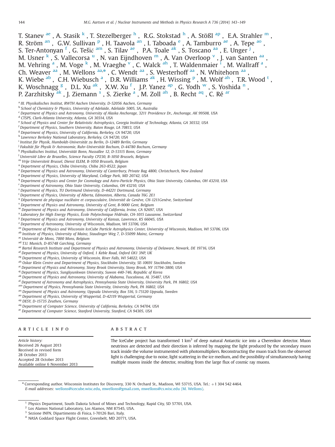T. Stanev <sup>ae</sup> , A. Stasik <sup>k</sup> , T. Stezelberger <sup>h</sup> , R.G. Stokstad <sup>h</sup> , A. Stößl <sup>ap</sup> , E.A. Strahler <sup>m</sup> , R. Ström <sup>an</sup> , G.W. Sullivan <sup>p</sup> , H. Taavola <sup>an</sup> , I. Taboada <sup>e</sup> , A. Tamburro <sup>ae</sup> , A. Tepe <sup>ao</sup> , S. Ter-Antonyan <sup>f</sup> , G. Tešić <sup>am</sup> , S. Tilav <sup>ae</sup> , P.A. Toale <sup>ak</sup> , S. Toscano <sup>aa</sup> , E. Unger <sup>j</sup> , M. Usner  $^{\rm k}$  , S. Vallecorsa  $^{\rm u}$  , N. van Eijndhoven  $^{\rm m}$  , A. Van Overloop  $^{\rm v}$  , J. van Santen  $^{\rm aa}$  , M. Vehring <sup>a</sup> , M. Voge <sup>k</sup> , M. Vraeghe <sup>v</sup> , C. Walck <sup>ah</sup> , T. Waldenmaier <sup>i</sup> , M. Wallraff <sup>a</sup> , Ch. Weaver aa , M. Wellons aa,\*, C. Wendt aa , S. Westerhoff aa , N. Whitehorn aa , K. Wiebe  $^{\rm ab}$  , C.H. Wiebusch  $^{\rm a}$  , D.R. Williams  $^{\rm ak}$  , H. Wissing  $^{\rm p}$  , M. Wolf  $^{\rm ah}$  , T.R. Wood  $^{\rm t}$  , K. Woschnagg  $^{\mathrm{g}}$  , D.L. Xu  $^{\mathrm{ak}}$  , X.W. Xu  $^{\mathrm{f}}$  , J.P. Yanez  $^{\mathrm{ap}}$  , G. Yodh  $^{\mathrm{w}}$  , S. Yoshida  $^{\mathrm{n}}$  , P. Zarzhitsky  $\overline{\phantom{a}^{\mathrm{ak}}}$  , J. Ziemann  $\overline{\phantom{a}^{\mathrm{s}}}$  , S. Zierke  $\overline{\phantom{a}^{\mathrm{a}}}$  , M. Zoll  $\overline{\phantom{a}^{\mathrm{ah}}}$  , B. Recht  $\overline{\phantom{a}^{\mathrm{aq}}}$  , C. Ré  $\overline{\phantom{a}^{\mathrm{ar}}}$ 

- <sup>c</sup> Department of Physics and Astronomy, University of Alaska Anchorage, 3211 Providence Dr., Anchorage, AK 99508, USA
- <sup>d</sup> CTSPS, Clark-Atlanta University, Atlanta, GA 30314, USA
- e School of Physics and Center for Relativistic Astrophysics, Georgia Institute of Technology, Atlanta, GA 30332, USA
- <sup>f</sup> Department of Physics, Southern University, Baton Rouge, LA 70813, USA
- <sup>g</sup> Department of Physics, University of California, Berkeley, CA 94720, USA
- <sup>h</sup> Lawrence Berkeley National Laboratory, Berkeley, CA 94720, USA
- <sup>i</sup> Institut für Physik, Humboldt-Universität zu Berlin, D-12489 Berlin, Germany
- <sup>i</sup> Fakultät für Physik & Astronomie, Ruhr-Universität Bochum, D-44780 Bochum, Germany
- k Physikalisches Institut, Universität Bonn, Nussallee 12, D-53115 Bonn, Germany
- <sup>1</sup> Université Libre de Bruxelles, Science Faculty CP230, B-1050 Brussels, Belgium
- <sup>m</sup> Vrije Universiteit Brussel, Dienst ELEM, B-1050 Brussels, Belgium
- <sup>n</sup> Department of Physics, Chiba University, Chiba 263-8522, Japan
- <sup>o</sup> Department of Physics and Astronomy, University of Canterbury, Private Bag 4800, Christchurch, New Zealand
- <sup>p</sup> Department of Physics, University of Maryland, College Park, MD 20742, USA
- <sup>q</sup> Department of Physics and Center for Cosmology and Astro-Particle Physics, Ohio State University, Columbus, OH 43210, USA
- <sup>r</sup> Department of Astronomy, Ohio State University, Columbus, OH 43210, USA
- <sup>s</sup> Department of Physics, TU Dortmund University, D-44221 Dortmund, Germany
- <sup>t</sup> Department of Physics, University of Alberta, Edmonton, Alberta, Canada T6G 2E1
- <sup>u</sup> Département de physique nucléaire et corpusculaire, Université de Genève, CH-1211Genève, Switzerland
- <sup>v</sup> Department of Physics and Astronomy, University of Gent, B-9000 Gent, Belgium
- <sup>w</sup> Department of Physics and Astronomy, University of California, Irvine, CA 92697, USA
- x Laboratory for High Energy Physics, École Polytechnique Fédérale, CH-1015 Lausanne, Switzerland
- <sup>y</sup> Department of Physics and Astronomy, University of Kansas, Lawrence, KS 66045, USA
- <sup>z</sup> Department of Astronomy, University of Wisconsin, Madison, WI 53706, USA
- aa Department of Physics and Wisconsin IceCube Particle Astrophysics Center, University of Wisconsin, Madison, WI 53706, USA
- ab Institute of Physics, University of Mainz, Staudinger Weg 7, D-55099 Mainz, Germany
- ac Université de Mons, 7000 Mons, Belgium
- ad T.U. Munich, D-85748 Garching, Germany
- ae Bartol Research Institute and Department of Physics and Astronomy, University of Delaware, Newark, DE 19716, USA
- af Department of Physics, University of Oxford, 1 Keble Road, Oxford OX1 3NP, UK
- ag Department of Physics, University of Wisconsin, River Falls, WI 54022, USA
- ah Oskar Klein Centre and Department of Physics, Stockholm University, SE-10691 Stockholm, Sweden
- ai Department of Physics and Astronomy, Stony Brook University, Stony Brook, NY 11794-3800, USA
- aj Department of Physics, Sungkyunkwan University, Suwon 440-746, Republic of Korea
- ak Department of Physics and Astronomy, University of Alabama, Tuscaloosa, AL 35487, USA
- al Department of Astronomy and Astrophysics, Pennsylvania State University, University Park, PA 16802, USA
- am Department of Physics, Pennsylvania State University, University Park, PA 16802, USA
- an Department of Physics and Astronomy, Uppsala University, Box 516, S-75120 Uppsala, Sweden
- ao Department of Physics, University of Wuppertal, D-42119 Wuppertal, Germany
- ap DESY, D-15735 Zeuthen, Germany
- aq Department of Computer Science, University of California, Berkeley, CA 94704, USA
- ar Department of Computer Science, Stanford University, Stanford, CA 94305, USA
- 

## article info

## ABSTRACT

Article history: Received 26 August 2013 Received in revised form 28 October 2013 Accepted 28 October 2013 Available online 6 November 2013

The IceCube project has transformed 1 km<sup>3</sup> of deep natural Antarctic ice into a Cherenkov detector. Muon neutrinos are detected and their direction is inferred by mapping the light produced by the secondary muon track inside the volume instrumented with photomultipliers. Reconstructing the muon track from the observed light is challenging due to noise, light scattering in the ice medium, and the possibility of simultaneously having multiple muons inside the detector, resulting from the large flux of cosmic ray muons.

\* Corresponding author. Wisconsin Institutes for Discovery, 330 N. Orchard St., Madison, WI 53715, USA. Tel.: +1 304 542 4464. E-mail addresses: wellons@icecube.wisc.edu, mwellons@gmail.com, mwellons@cs.wisc.edu (M. Wellons).

- 2 Los Alamos National Laboratory, Los Alamos, NM 87545, USA.
- 3 Sezione INFN, Dipartimento di Fisica, I-70126 Bari, Italy.

<sup>&</sup>lt;sup>a</sup> III. Physikalisches Institut, RWTH Aachen University, D-52056 Aachen, Germany

<sup>&</sup>lt;sup>b</sup> School of Chemistry & Physics, University of Adelaide, Adelaide 5005, SA, Australia

<sup>1</sup> Physics Department, South Dakota School of Mines and Technology, Rapid City, SD 57701, USA.

<sup>4</sup> NASA Goddard Space Flight Center, Greenbelt, MD 20771, USA.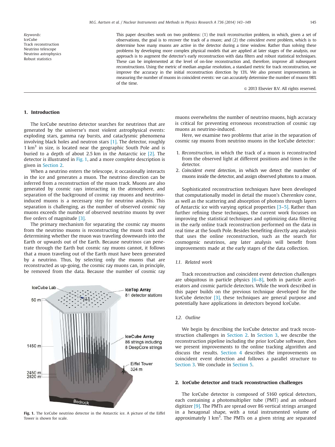This paper describes work on two problems: (1) the track reconstruction problem, in which, given a set of observations, the goal is to recover the track of a muon; and (2) the coincident event problem, which is to determine how many muons are active in the detector during a time window. Rather than solving these problems by developing more complex physical models that are applied at later stages of the analysis, our approach is to augment the detector's early reconstruction with data filters and robust statistical techniques. These can be implemented at the level of on-line reconstruction and, therefore, improve all subsequent reconstructions. Using the metric of median angular resolution, a standard metric for track reconstruction, we improve the accuracy in the initial reconstruction direction by 13%. We also present improvements in measuring the number of muons in coincident events: we can accurately determine the number of muons 98% of the time.

 $\odot$  2013 Elsevier B.V. All rights reserved.

# 1. Introduction

The IceCube neutrino detector searches for neutrinos that are generated by the universe's most violent astrophysical events: exploding stars, gamma ray bursts, and cataclysmic phenomena involving black holes and neutron stars [1]. The detector, roughly  $1 \text{ km}^3$  in size, is located near the geographic South Pole and is buried to a depth of about 2.5 km in the Antarctic ice [2]. The detector is illustrated in Fig. 1, and a more complete description is given in Section 2.

When a neutrino enters the telescope, it occasionally interacts in the ice and generates a muon. The neutrino direction can be inferred from a reconstruction of the muon track. Muons are also generated by cosmic rays interacting in the atmosphere, and separation of the background of cosmic ray muons and neutrinoinduced muons is a necessary step for neutrino analysis. This separation is challenging, as the number of observed cosmic ray muons exceeds the number of observed neutrino muons by over five orders of magnitude [3].

The primary mechanism for separating the cosmic ray muons from the neutrino muons is reconstructing the muon track and determining whether the muon was traveling downwards into the Earth or upwards out of the Earth. Because neutrinos can penetrate through the Earth but cosmic ray muons cannot, it follows that a muon traveling out of the Earth must have been generated by a neutrino. Thus, by selecting only the muons that are reconstructed as up-going, the cosmic ray muons can, in principle, be removed from the data. Because the number of cosmic ray



Fig. 1. The IceCube neutrino detector in the Antarctic ice. A picture of the Eiffel Tower is shown for scale.

muons overwhelms the number of neutrino muons, high accuracy is critical for preventing erroneous reconstruction of cosmic ray muons as neutrino-induced.

Here, we examine two problems that arise in the separation of cosmic ray muons from neutrino muons in the IceCube detector:

- 1. Reconstruction, in which the track of a muon is reconstructed from the observed light at different positions and times in the detector.
- 2. Coincident event detection, in which we detect the number of muons inside the detector, and assign observed photons to a muon.

Sophisticated reconstruction techniques have been developed that computationally model in detail the muon's Cherenkov cone, as well as the scattering and absorption of photons through layers of Antarctic ice with varying optical properties [3–5]. Rather than further refining these techniques, the current work focusses on improving the statistical techniques and optimizing data filtering in the early online track reconstruction performed on the data in real time at the South Pole. Besides benefiting directly any analysis that uses the online reconstruction, such as the search for cosmogenic neutrinos, any later analysis will benefit from improvements made at the early stages of the data collection.

## 1.1. Related work

Track reconstruction and coincident event detection challenges are ubiquitous in particle physics [6–8], both in particle accelerators and cosmic particle detectors. While the work described in this paper builds on the previous technique developed for the IceCube detector [3], these techniques are general purpose and potentially have applications in detectors beyond IceCube.

# 1.2. Outline

We begin by describing the IceCube detector and track reconstruction challenges in Section 2. In Section 3, we describe the reconstruction pipeline including the prior IceCube software, then we present improvements to the online tracking algorithm and discuss the results. Section 4 describes the improvements on coincident event detection and follows a parallel structure to Section 3. We conclude in Section 5.

## 2. IceCube detector and track reconstruction challenges

The IceCube detector is composed of 5160 optical detectors, each containing a photomultiplier tube (PMT) and an onboard digitizer [9]. The PMTs are spread over 86 vertical strings arranged in a hexagonal shape, with a total instrumented volume of approximately  $1 \text{ km}^3$ . The PMTs on a given string are separated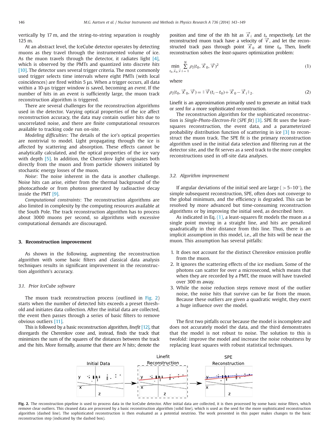vertically by 17 m, and the string-to-string separation is roughly 125 m.

At an abstract level, the IceCube detector operates by detecting muons as they travel through the instrumented volume of ice. As the muon travels through the detector, it radiates light [4], which is observed by the PMTs and quantized into discrete hits [10]. The detector uses several trigger criteria. The most commonly used trigger selects time intervals where eight PMTs (with local coincidences) are fired within 5 μs. When a trigger occurs, all data within a 10-us trigger window is saved, becoming an *event*. If the number of hits in an event is sufficiently large, the muon track reconstruction algorithm is triggered.

There are several challenges for the reconstruction algorithms used in the detector. Varying optical properties of the ice affect reconstruction accuracy, the data may contain outlier hits due to uncorrelated noise, and there are finite computational resources available to tracking code run on-site.

Modeling difficulties: The details of the ice's optical properties are nontrivial to model. Light propagating through the ice is affected by scattering and absorption. These effects cannot be analytically calculated, and the optical properties of the ice vary with depth [5]. In addition, the Cherenkov light originates both directly from the muon and from particle showers initiated by stochastic energy losses of the muon.

Noise: The noise inherent in the data is another challenge. Noise hits can arise, either from the thermal background of the photocathode or from photons generated by radioactive decay inside the PMT [9].

Computational constraints: The reconstruction algorithms are also limited in complexity by the computing resources available at the South Pole. The track reconstruction algorithm has to process about 3000 muons per second, so algorithms with excessive computational demands are discouraged.

## 3. Reconstruction improvement

As shown in the following, augmenting the reconstruction algorithm with some basic filters and classical data analysis techniques results in significant improvement in the reconstruction algorithm's accuracy.

## 3.1. Prior IceCube software

The muon track reconstruction process (outlined in Fig. 2) starts when the number of detected hits exceeds a preset threshold and initiates data collection. After the initial data are collected, the event then passes through a series of basic filters to remove obvious outliers [11].

This is followed by a basic reconstruction algorithm, linefit [12], that disregards the Cherenkov cone and, instead, finds the track that minimizes the sum of the squares of the distances between the track and the hits. More formally, assume that there are N hits; denote the

position and time of the *i*th hit as  $\vec{x}_i$  and  $t_i$  respectively. Let the reconstructed muon track have a velocity of  $\vec{v}$ , and let the reconstructed track pass through point  $\vec{x}_0$  at time  $t_0$ . Then, linefit reconstruction solves the least-squares optimization problem:

$$
\min_{t_0, \vec{x}_0, \vec{v}} \sum_{i=1}^N \rho_i(t_0, \vec{x}_0, \vec{v})^2
$$
\n(1)

where

$$
\rho_i(t_0, \vec{x}_0, \vec{v}) = \|\vec{v}(t_i - t_0) + \vec{x}_0 - \vec{x}_i\|_2.
$$
 (2)

Linefit is an approximation primarily used to generate an initial track or seed for a more sophisticated reconstruction.

The reconstruction algorithm for the sophisticated reconstruction is Single-Photo-Electron-Fit (SPE fit)  $[3]$ . SPE fit uses the leastsquares reconstruction, the event data, and a parameterized probability distribution function of scattering in ice [3] to reconstruct the muon track. The SPE fit is the primary reconstruction algorithm used in the initial data selection and filtering run at the detector site, and the fit serves as a seed track to the more complex reconstructions used in off-site data analyses.

## 3.2. Algorithm improvement

If angular deviations of the initial seed are large ( $>5-10^{\circ}$ ), the simple subsequent reconstruction, SPE, often does not converge to the global minimum, and the efficiency is degraded. This can be resolved by more advanced but time-consuming reconstruction algorithms or by improving the initial seed, as described here.

As indicated in Eq.  $(1)$ , a least-squares fit models the muon as a single point moving in a straight line, and hits are penalized quadratically in their distance from this line. Thus, there is an implicit assumption in this model, i.e., all the hits will be near the muon. This assumption has several pitfalls:

- 1. It does not account for the distinct Cherenkov emission profile from the muon.
- 2. It ignores the scattering effects of the ice medium. Some of the photons can scatter for over a microsecond, which means that when they are recorded by a PMT, the muon will have traveled over 300 m away.
- 3. While the noise reduction steps remove most of the outlier noise, the noise hits that survive can be far from the muon. Because these outliers are given a quadratic weight, they exert a huge influence over the model.

The first two pitfalls occur because the model is incomplete and does not accurately model the data, and the third demonstrates that the model is not robust to noise. The solution to this is twofold: improve the model and increase the noise robustness by replacing least squares with robust statistical techniques.



Fig. 2. The reconstruction pipeline is used to process data in the IceCube detector. After initial data are collected, it is then processed by some basic noise filters, which remove clear outliers. This cleaned data are processed by a basic reconstruction algorithm (solid line), which is used as the seed for the more sophisticated reconstruction algorithm (dashed line). The sophisticated reconstruction is then evaluated as a potential neutrino. The work presented in this paper makes changes to the basic reconstruction step (indicated by the dashed box).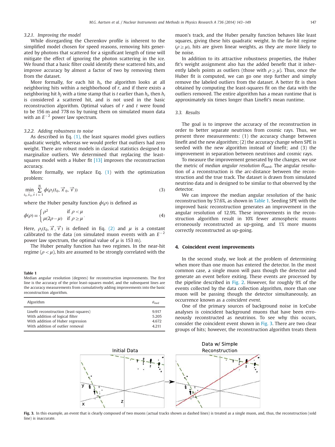## 3.2.1. Improving the model

While disregarding the Cherenkov profile is inherent to the simplified model chosen for speed reasons, removing hits generated by photons that scattered for a significant length of time will mitigate the effect of ignoring the photon scattering in the ice. We found that a basic filter could identify these scattered hits, and improve accuracy by almost a factor of two by removing them from the dataset.

More formally, for each hit  $h_i$ , the algorithm looks at all neighboring hits within a neighborhood of r, and if there exists a neighboring hit  $h_j$  with a time stamp that is  $t$  earlier than  $h_i$ , then  $h_i$ is considered a scattered hit, and is not used in the basic reconstruction algorithm. Optimal values of  $r$  and  $t$  were found to be 156 m and 778 ns by tuning them on simulated muon data with an  $E^{-2}$  power law spectrum.

## 3.2.2. Adding robustness to noise

As described in Eq. (1), the least squares model gives outliers quadratic weight, whereas we would prefer that outliers had zero weight. There are robust models in classical statistics designed to marginalize outliers. We determined that replacing the leastsquares model with a Huber fit [13] improves the reconstruction accuracy.

More formally, we replace Eq. (1) with the optimization problem:

$$
\min_{t_0, \vec{x}_0, \vec{v}} \sum_{i=1}^N \phi(\rho_i(t_0, \vec{x}_0, \vec{v}))
$$
\n(3)

where the Huber penalty function  $\phi(\rho)$  is defined as

$$
\phi(\rho) \equiv \begin{cases} \rho^2 & \text{if } \rho < \mu \\ \mu(2\rho - \mu) & \text{if } \rho \ge \mu \end{cases}
$$
 (4)

Here,  $\rho_i(t_0, \vec{x}, \vec{v})$  is defined in Eq. (2) and  $\mu$  is a constant calibrated to the data (on simulated muon events with an  $E^{-2}$ power law spectrum, the optimal value of  $\mu$  is 153 m).

The Huber penalty function has two regimes. In the near-hit regime ( $\rho \lt \mu$ ), hits are assumed to be strongly correlated with the

#### Table 1

Median angular resolution (degrees) for reconstruction improvements. The first line is the accuracy of the prior least-squares model, and the subsequent lines are the accuracy measurements from cumulatively adding improvements into the basic reconstruction algorithm.

| Algorithm                              | $\theta_{med}$ |
|----------------------------------------|----------------|
| Linefit reconstruction (least-squares) | 9.917          |
| With addition of logical filter        | 5.205          |
| With addition of Huber regression      | 4.672          |
| With addition of outlier removal       | 4 2 1 1        |

muon's track, and the Huber penalty function behaves like least squares, giving these hits quadratic weight. In the far-hit regime  $(\rho \geq \mu)$ , hits are given linear weights, as they are more likely to be noise.

In addition to its attractive robustness properties, the Huber fit's weight assignment also has the added benefit that it inherently labels points as outliers (those with  $\rho \geq \mu$ ). Thus, once the Huber fit is computed, we can go one step further and simply remove the labeled outliers from the dataset. A better fit is then obtained by computing the least-squares fit on the data with the outliers removed. The entire algorithm has a mean runtime that is approximately six times longer than Linefit's mean runtime.

## 3.3. Results

The goal is to improve the accuracy of the reconstruction in order to better separate neutrinos from cosmic rays. Thus, we present three measurements: (1) the accuracy change between linefit and the new algorithm; (2) the accuracy change when SPE is seeded with the new algorithm instead of linefit; and (3) the improvement in separation between neutrinos and cosmic rays.

To measure the improvement generated by the changes, we use the metric of median angular resolution  $\theta_{\text{med}}$ . The angular resolution of a reconstruction is the arc-distance between the reconstruction and the true track. The dataset is drawn from simulated neutrino data and is designed to be similar to that observed by the detector.

We can improve the median angular resolution of the basic reconstruction by 57.6%, as shown in Table 1. Seeding SPE with the improved basic reconstruction generates an improvement in the angular resolution of 12.9%. These improvements in the reconstruction algorithm result in 10% fewer atmospheric muons erroneously reconstructed as up-going, and 1% more muons correctly reconstructed as up-going.

## 4. Coincident event improvements

In the second study, we look at the problem of determining when more than one muon has entered the detector. In the most common case, a single muon will pass though the detector and generate an event before exiting. These events are processed by the pipeline described in Fig. 2. However, for roughly 9% of the events collected by the data collection algorithm, more than one muon will be passing though the detector simultaneously, an occurrence known as a coincident event.

One of the primary sources of background noise in IceCube analyses is coincident background muons that have been erroneously reconstructed as neutrinos. To see why this occurs, consider the coincident event shown in Fig. 3. There are two clear groups of hits; however, the reconstruction algorithm treats them



Fig. 3. In this example, an event that is clearly composed of two muons (actual tracks shown as dashed lines) is treated as a single muon, and, thus, the reconstruction (sold line) is inaccurate.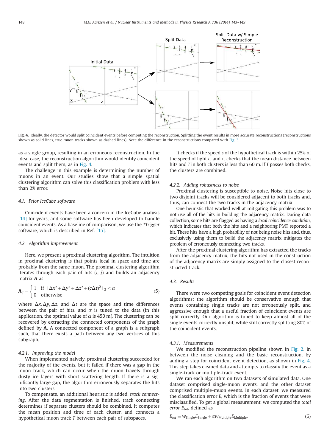

Fig. 4. Ideally, the detector would split coincident events before computing the reconstruction. Splitting the event results in more accurate reconstructions (reconstructions shown as solid lines, true muon tracks shown as dashed lines). Note the difference in the reconstructions compared with Fig. 3.

as a single group, resulting in an erroneous reconstruction. In the ideal case, the reconstruction algorithm would identify coincident events and split them, as in Fig. 4.

The challenge in this example is determining the number of muons in an event. Our studies show that a simple spatial clustering algorithm can solve this classification problem with less than 2% error.

## 4.1. Prior IceCube software

Coincident events have been a concern in the IceCube analysis [14] for years, and some software has been developed to handle coincident events. As a baseline of comparison, we use the TTrigger software, which is described in Ref. [15].

## 4.2. Algorithm improvement

Here, we present a proximal clustering algorithm. The intuition in proximal clustering is that points local in space and time are probably from the same muon. The proximal clustering algorithm iterates through each pair of hits  $(i, j)$  and builds an adjacency matrix A as

$$
\mathbf{A}_{ij} = \begin{cases} 1 & \text{if } \|\Delta x^2 + \Delta y^2 + \Delta z^2 + (c\Delta t)^2\|_2 \le \alpha \\ 0 & \text{otherwise} \end{cases}
$$
(5)

where  $\Delta x$ ,  $\Delta y$ ,  $\Delta z$ , and  $\Delta t$  are the space and time differences between the pair of hits, and  $\alpha$  is tuned to the data (in this application, the optimal value of  $\alpha$  is 450 m). The clustering can be recovered by extracting the connected components of the graph defined by A. A connected component of a graph is a subgraph such, that there exists a path between any two vertices of this subgraph.

## 4.2.1. Improving the model

When implemented naively, proximal clustering succeeded for the majority of the events, but it failed if there was a gap in the muon track, which can occur when the muon travels through dusty ice layers with short scattering length. If there is a significantly large gap, the algorithm erroneously separates the hits into two clusters.

To compensate, an additional heuristic is added, track connecting. After the data segmentation is finished, track connecting determines if separate clusters should be combined. It computes the mean position and time of each cluster, and connects a hypothetical muon track T between each pair of subspaces.

It checks if the speed s of the hypothetical track is within 25% of the speed of light c, and it checks that the mean distance between hits and  $T$  in both clusters is less than 60 m. If  $T$  passes both checks, the clusters are combined.

#### 4.2.2. Adding robustness to noise

Proximal clustering is susceptible to noise. Noise hits close to two disjoint tracks will be considered adjacent to both tracks and, thus, can connect the two tracks in the adjacency matrix.

One heuristic that worked well at mitigating this problem was to not use all of the hits in building the adjacency matrix. During data collection, some hits are flagged as having a local coincidence condition, which indicates that both the hits and a neighboring PMT reported a hit. These hits have a high probability of not being noise hits and, thus, exclusively using them to build the adjacency matrix mitigates the problem of erroneously connecting two tracks.

After the proximal clustering algorithm has extracted the tracks from the adjacency matrix, the hits not used in the construction of the adjacency matrix are simply assigned to the closest reconstructed track.

# 4.3. Results

There were two competing goals for coincident event detection algorithms: the algorithm should be conservative enough that events containing single tracks are not erroneously split, and aggressive enough that a useful fraction of coincident events are split correctly. Our algorithm is tuned to keep almost all of the single events correctly unsplit, while still correctly splitting 80% of the coincident events.

# 4.3.1. Measurements

We modified the reconstruction pipeline shown in Fig. 2, in between the noise cleaning and the basic reconstruction, by adding a step for coincident event detection, as shown in Fig. 4. This step takes cleaned data and attempts to classify the event as a single-track or multiple-track event.

We ran each algorithm on two datasets of simulated data. One dataset comprised single-muon events, and the other dataset comprised multiple-muon events. In each dataset, we measured the classification error E, which is the fraction of events that were misclassified. To get a global measurement, we computed the total error  $E_{tot}$ , defined as